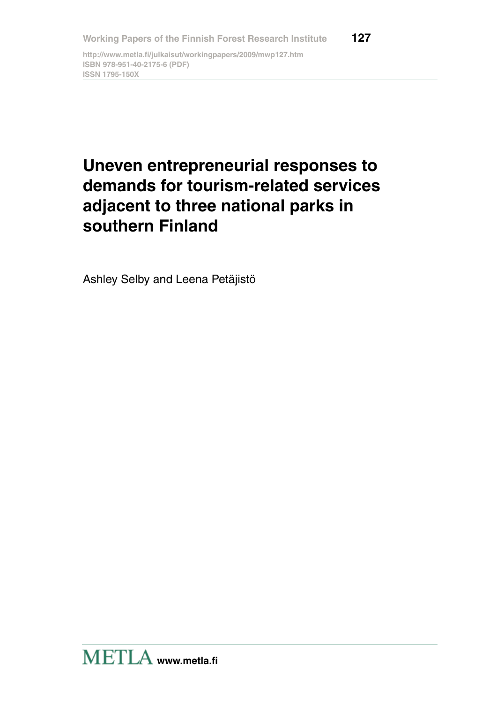**http://www.metla.fi/julkaisut/workingpapers/2009/mwp127.htm ISBN 978-951-40-2175-6 (PDF) ISSN 1795-150X**

# **Uneven entrepreneurial responses to demands for tourism-related services adjacent to three national parks in southern Finland**

Ashley Selby and Leena Petäjistö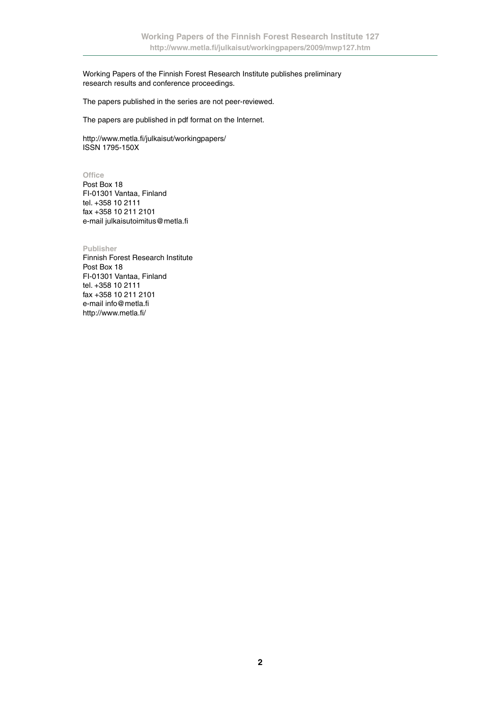Working Papers of the Finnish Forest Research Institute publishes preliminary research results and conference proceedings.

The papers published in the series are not peer-reviewed.

The papers are published in pdf format on the Internet.

http://www.metla.fi/julkaisut/workingpapers/ ISSN 1795-150X

**Office**

Post Box 18 FI-01301 Vantaa, Finland tel. +358 10 2111 fax +358 10 211 2101 e-mail julkaisutoimitus@metla.fi

**Publisher**

Finnish Forest Research Institute Post Box 18 FI-01301 Vantaa, Finland tel. +358 10 2111 fax +358 10 211 2101 e-mail info@metla.fi http://www.metla.fi/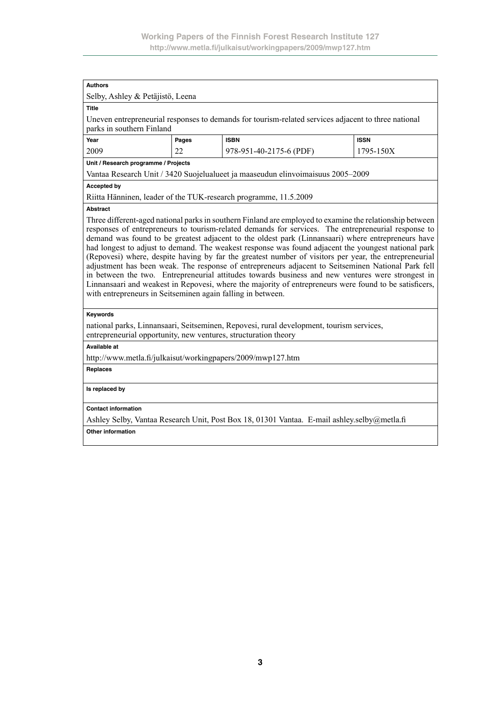| <b>Authors</b>                                                                                                                                                                                                                                                                                                                                                                                                                                                                                                                                                                                                                                                                                                                                                                                                                                                                                                            |                                                                                   |                                                                                                     |  |  |  |  |
|---------------------------------------------------------------------------------------------------------------------------------------------------------------------------------------------------------------------------------------------------------------------------------------------------------------------------------------------------------------------------------------------------------------------------------------------------------------------------------------------------------------------------------------------------------------------------------------------------------------------------------------------------------------------------------------------------------------------------------------------------------------------------------------------------------------------------------------------------------------------------------------------------------------------------|-----------------------------------------------------------------------------------|-----------------------------------------------------------------------------------------------------|--|--|--|--|
| Selby, Ashley & Petäjistö, Leena                                                                                                                                                                                                                                                                                                                                                                                                                                                                                                                                                                                                                                                                                                                                                                                                                                                                                          |                                                                                   |                                                                                                     |  |  |  |  |
| <b>Title</b>                                                                                                                                                                                                                                                                                                                                                                                                                                                                                                                                                                                                                                                                                                                                                                                                                                                                                                              |                                                                                   |                                                                                                     |  |  |  |  |
| parks in southern Finland                                                                                                                                                                                                                                                                                                                                                                                                                                                                                                                                                                                                                                                                                                                                                                                                                                                                                                 |                                                                                   | Uneven entrepreneurial responses to demands for tourism-related services adjacent to three national |  |  |  |  |
|                                                                                                                                                                                                                                                                                                                                                                                                                                                                                                                                                                                                                                                                                                                                                                                                                                                                                                                           |                                                                                   |                                                                                                     |  |  |  |  |
| Year<br>2009                                                                                                                                                                                                                                                                                                                                                                                                                                                                                                                                                                                                                                                                                                                                                                                                                                                                                                              | Pages<br><b>ISBN</b><br><b>ISSN</b><br>22<br>1795-150X<br>978-951-40-2175-6 (PDF) |                                                                                                     |  |  |  |  |
| Unit / Research programme / Projects                                                                                                                                                                                                                                                                                                                                                                                                                                                                                                                                                                                                                                                                                                                                                                                                                                                                                      |                                                                                   |                                                                                                     |  |  |  |  |
|                                                                                                                                                                                                                                                                                                                                                                                                                                                                                                                                                                                                                                                                                                                                                                                                                                                                                                                           |                                                                                   | Vantaa Research Unit / 3420 Suojelualueet ja maaseudun elinvoimaisuus 2005–2009                     |  |  |  |  |
| <b>Accepted by</b>                                                                                                                                                                                                                                                                                                                                                                                                                                                                                                                                                                                                                                                                                                                                                                                                                                                                                                        |                                                                                   |                                                                                                     |  |  |  |  |
|                                                                                                                                                                                                                                                                                                                                                                                                                                                                                                                                                                                                                                                                                                                                                                                                                                                                                                                           |                                                                                   |                                                                                                     |  |  |  |  |
| <b>Abstract</b>                                                                                                                                                                                                                                                                                                                                                                                                                                                                                                                                                                                                                                                                                                                                                                                                                                                                                                           |                                                                                   | Riitta Hänninen, leader of the TUK-research programme, 11.5.2009                                    |  |  |  |  |
| Three different-aged national parks in southern Finland are employed to examine the relationship between<br>responses of entrepreneurs to tourism-related demands for services. The entrepreneurial response to<br>demand was found to be greatest adjacent to the oldest park (Linnansaari) where entrepreneurs have<br>had longest to adjust to demand. The weakest response was found adjacent the youngest national park<br>(Repovesi) where, despite having by far the greatest number of visitors per year, the entrepreneurial<br>adjustment has been weak. The response of entrepreneurs adjacent to Seitseminen National Park fell<br>in between the two. Entrepreneurial attitudes towards business and new ventures were strongest in<br>Linnansaari and weakest in Repovesi, where the majority of entrepreneurs were found to be satisficers,<br>with entrepreneurs in Seitseminen again falling in between. |                                                                                   |                                                                                                     |  |  |  |  |
| Keywords                                                                                                                                                                                                                                                                                                                                                                                                                                                                                                                                                                                                                                                                                                                                                                                                                                                                                                                  |                                                                                   |                                                                                                     |  |  |  |  |
| national parks, Linnansaari, Seitseminen, Repovesi, rural development, tourism services,<br>entrepreneurial opportunity, new ventures, structuration theory                                                                                                                                                                                                                                                                                                                                                                                                                                                                                                                                                                                                                                                                                                                                                               |                                                                                   |                                                                                                     |  |  |  |  |
| <b>Available at</b>                                                                                                                                                                                                                                                                                                                                                                                                                                                                                                                                                                                                                                                                                                                                                                                                                                                                                                       |                                                                                   |                                                                                                     |  |  |  |  |
| http://www.metla.fi/julkaisut/workingpapers/2009/mwp127.htm                                                                                                                                                                                                                                                                                                                                                                                                                                                                                                                                                                                                                                                                                                                                                                                                                                                               |                                                                                   |                                                                                                     |  |  |  |  |
| Replaces                                                                                                                                                                                                                                                                                                                                                                                                                                                                                                                                                                                                                                                                                                                                                                                                                                                                                                                  |                                                                                   |                                                                                                     |  |  |  |  |
| Is replaced by                                                                                                                                                                                                                                                                                                                                                                                                                                                                                                                                                                                                                                                                                                                                                                                                                                                                                                            |                                                                                   |                                                                                                     |  |  |  |  |
| <b>Contact information</b>                                                                                                                                                                                                                                                                                                                                                                                                                                                                                                                                                                                                                                                                                                                                                                                                                                                                                                |                                                                                   |                                                                                                     |  |  |  |  |
| Ashley Selby, Vantaa Research Unit, Post Box 18, 01301 Vantaa. E-mail ashley.selby@metla.fi                                                                                                                                                                                                                                                                                                                                                                                                                                                                                                                                                                                                                                                                                                                                                                                                                               |                                                                                   |                                                                                                     |  |  |  |  |
| <b>Other information</b>                                                                                                                                                                                                                                                                                                                                                                                                                                                                                                                                                                                                                                                                                                                                                                                                                                                                                                  |                                                                                   |                                                                                                     |  |  |  |  |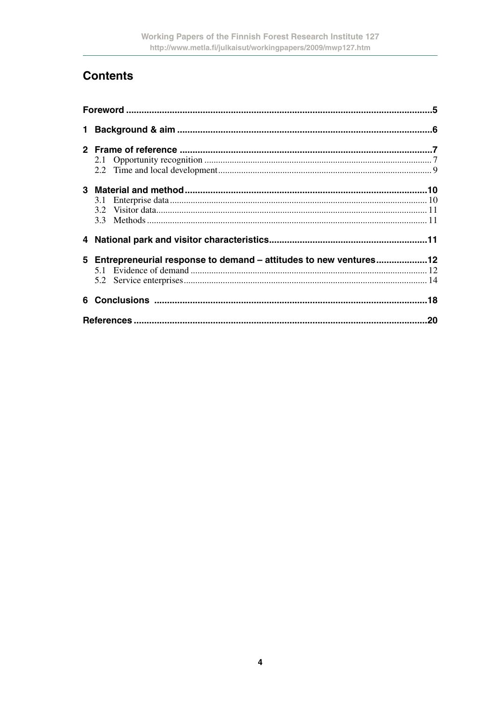# **Contents**

| 3.1                                                                |  |
|--------------------------------------------------------------------|--|
|                                                                    |  |
|                                                                    |  |
|                                                                    |  |
| 5 Entrepreneurial response to demand - attitudes to new ventures12 |  |
|                                                                    |  |
|                                                                    |  |
|                                                                    |  |
|                                                                    |  |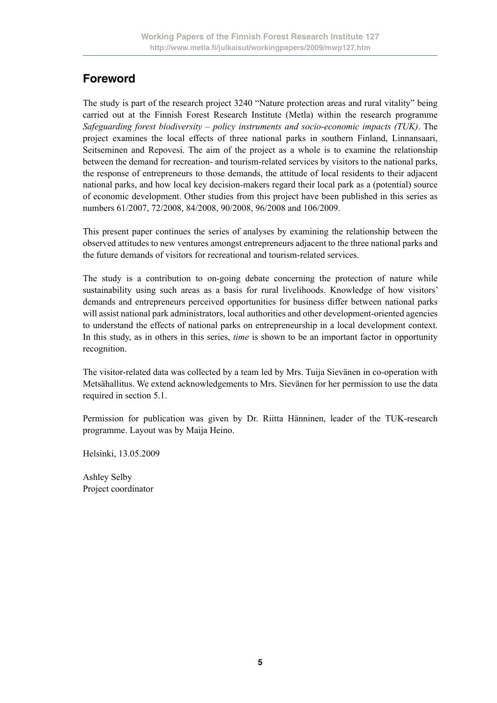# **Foreword**

The study is part of the research project 3240 "Nature protection areas and rural vitality" being carried out at the Finnish Forest Research Institute (Metla) within the research programme *Safeguarding forest biodiversity – policy instruments and socio-economic impacts (TUK)*. The project examines the local effects of three national parks in southern Finland, Linnansaari, Seitseminen and Repovesi. The aim of the project as a whole is to examine the relationship between the demand for recreation- and tourism-related services by visitors to the national parks, the response of entrepreneurs to those demands, the attitude of local residents to their adjacent national parks, and how local key decision-makers regard their local park as a (potential) source of economic development. Other studies from this project have been published in this series as numbers 61/2007, 72/2008, 84/2008, 90/2008, 96/2008 and 106/2009.

This present paper continues the series of analyses by examining the relationship between the observed attitudes to new ventures amongst entrepreneurs adjacent to the three national parks and the future demands of visitors for recreational and tourism-related services.

The study is a contribution to on-going debate concerning the protection of nature while sustainability using such areas as a basis for rural livelihoods. Knowledge of how visitors' demands and entrepreneurs perceived opportunities for business differ between national parks will assist national park administrators, local authorities and other development-oriented agencies to understand the effects of national parks on entrepreneurship in a local development context. In this study, as in others in this series, *time* is shown to be an important factor in opportunity recognition.

The visitor-related data was collected by a team led by Mrs. Tuija Sievänen in co-operation with Metsähallitus. We extend acknowledgements to Mrs. Sievänen for her permission to use the data required in section 5.1.

Permission for publication was given by Dr. Riitta Hänninen, leader of the TUK-research programme. Layout was by Maija Heino.

Helsinki, 13.05.2009

Ashley Selby Project coordinator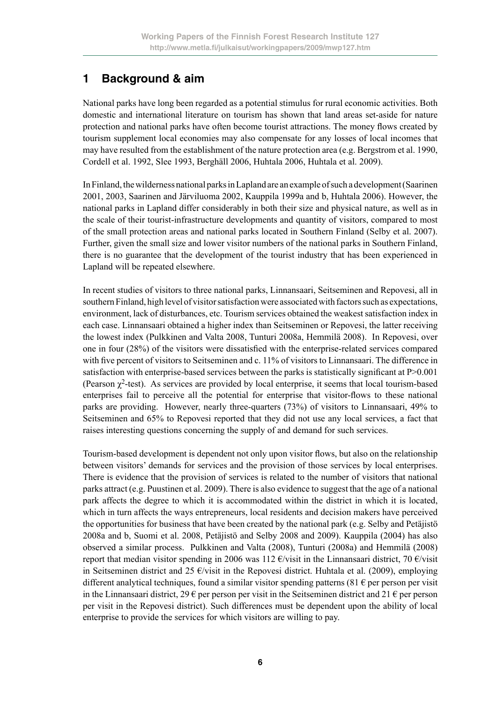# **1 Background & aim**

National parks have long been regarded as a potential stimulus for rural economic activities. Both domestic and international literature on tourism has shown that land areas set-aside for nature protection and national parks have often become tourist attractions. The money flows created by tourism supplement local economies may also compensate for any losses of local incomes that may have resulted from the establishment of the nature protection area (e.g. Bergstrom et al. 1990, Cordell et al. 1992, Slee 1993, Berghäll 2006, Huhtala 2006, Huhtala et al. 2009).

In Finland, the wilderness national parks in Lapland are an example of such a development (Saarinen 2001, 2003, Saarinen and Järviluoma 2002, Kauppila 1999a and b, Huhtala 2006). However, the national parks in Lapland differ considerably in both their size and physical nature, as well as in the scale of their tourist-infrastructure developments and quantity of visitors, compared to most of the small protection areas and national parks located in Southern Finland (Selby et al. 2007). Further, given the small size and lower visitor numbers of the national parks in Southern Finland, there is no guarantee that the development of the tourist industry that has been experienced in Lapland will be repeated elsewhere.

In recent studies of visitors to three national parks, Linnansaari, Seitseminen and Repovesi, all in southern Finland, high level of visitor satisfaction were associated with factors such as expectations, environment, lack of disturbances, etc. Tourism services obtained the weakest satisfaction index in each case. Linnansaari obtained a higher index than Seitseminen or Repovesi, the latter receiving the lowest index (Pulkkinen and Valta 2008, Tunturi 2008a, Hemmilä 2008). In Repovesi, over one in four (28%) of the visitors were dissatisfied with the enterprise-related services compared with five percent of visitors to Seitseminen and c. 11% of visitors to Linnansaari. The difference in satisfaction with enterprise-based services between the parks is statistically significant at P $>0.001$ (Pearson  $\gamma^2$ -test). As services are provided by local enterprise, it seems that local tourism-based enterprises fail to perceive all the potential for enterprise that visitor-flows to these national parks are providing. However, nearly three-quarters (73%) of visitors to Linnansaari, 49% to Seitseminen and 65% to Repovesi reported that they did not use any local services, a fact that raises interesting questions concerning the supply of and demand for such services.

Tourism-based development is dependent not only upon visitor flows, but also on the relationship between visitors' demands for services and the provision of those services by local enterprises. There is evidence that the provision of services is related to the number of visitors that national parks attract (e.g. Puustinen et al. 2009). There is also evidence to suggest that the age of a national park affects the degree to which it is accommodated within the district in which it is located, which in turn affects the ways entrepreneurs, local residents and decision makers have perceived the opportunities for business that have been created by the national park (e.g. Selby and Petäjistö 2008a and b, Suomi et al. 2008, Petäjistö and Selby 2008 and 2009). Kauppila (2004) has also observed a similar process. Pulkkinen and Valta (2008), Tunturi (2008a) and Hemmilä (2008) report that median visitor spending in 2006 was 112  $\epsilon$ /visit in the Linnansaari district, 70  $\epsilon$ /visit in Seitseminen district and 25  $\epsilon$ /visit in the Repovesi district. Huhtala et al. (2009), employing different analytical techniques, found a similar visitor spending patterns (81  $\epsilon$  per person per visit in the Linnansaari district, 29  $\epsilon$  per person per visit in the Seitseminen district and 21  $\epsilon$  per person per visit in the Repovesi district). Such differences must be dependent upon the ability of local enterprise to provide the services for which visitors are willing to pay.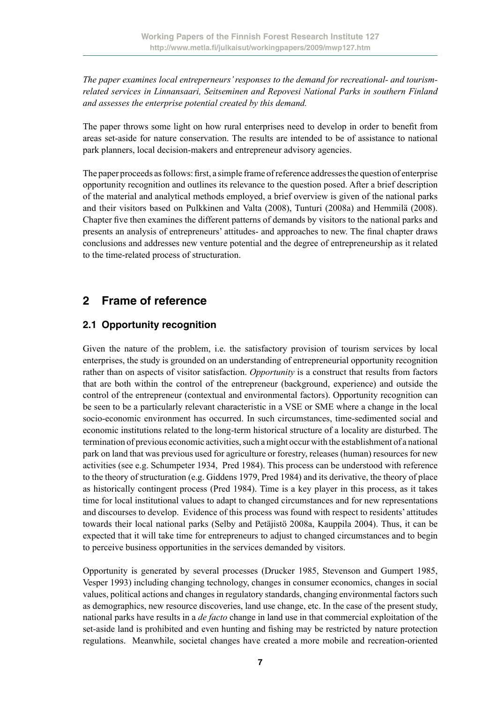*The paper examines local entreperneurs' responses to the demand for recreational- and tourismrelated services in Linnansaari, Seitseminen and Repovesi National Parks in southern Finland and assesses the enterprise potential created by this demand.*

The paper throws some light on how rural enterprises need to develop in order to benefit from areas set-aside for nature conservation. The results are intended to be of assistance to national park planners, local decision-makers and entrepreneur advisory agencies.

The paper proceeds as follows: first, a simple frame of reference addresses the question of enterprise opportunity recognition and outlines its relevance to the question posed. After a brief description of the material and analytical methods employed, a brief overview is given of the national parks and their visitors based on Pulkkinen and Valta (2008), Tunturi (2008a) and Hemmilä (2008). Chapter five then examines the different patterns of demands by visitors to the national parks and presents an analysis of entrepreneurs' attitudes- and approaches to new. The final chapter draws conclusions and addresses new venture potential and the degree of entrepreneurship as it related to the time-related process of structuration.

# **2 Frame of reference**

#### **2.1 Opportunity recognition**

Given the nature of the problem, i.e. the satisfactory provision of tourism services by local enterprises, the study is grounded on an understanding of entrepreneurial opportunity recognition rather than on aspects of visitor satisfaction. *Opportunity* is a construct that results from factors that are both within the control of the entrepreneur (background, experience) and outside the control of the entrepreneur (contextual and environmental factors). Opportunity recognition can be seen to be a particularly relevant characteristic in a VSE or SME where a change in the local socio-economic environment has occurred. In such circumstances, time-sedimented social and economic institutions related to the long-term historical structure of a locality are disturbed. The termination of previous economic activities, such a might occur with the establishment of a national park on land that was previous used for agriculture or forestry, releases (human) resources for new activities (see e.g. Schumpeter 1934, Pred 1984). This process can be understood with reference to the theory of structuration (e.g. Giddens 1979, Pred 1984) and its derivative, the theory of place as historically contingent process (Pred 1984). Time is a key player in this process, as it takes time for local institutional values to adapt to changed circumstances and for new representations and discourses to develop. Evidence of this process was found with respect to residents' attitudes towards their local national parks (Selby and Petäjistö 2008a, Kauppila 2004). Thus, it can be expected that it will take time for entrepreneurs to adjust to changed circumstances and to begin to perceive business opportunities in the services demanded by visitors.

Opportunity is generated by several processes (Drucker 1985, Stevenson and Gumpert 1985, Vesper 1993) including changing technology, changes in consumer economics, changes in social values, political actions and changes in regulatory standards, changing environmental factors such as demographics, new resource discoveries, land use change, etc. In the case of the present study, national parks have results in a *de facto* change in land use in that commercial exploitation of the set-aside land is prohibited and even hunting and fishing may be restricted by nature protection regulations. Meanwhile, societal changes have created a more mobile and recreation-oriented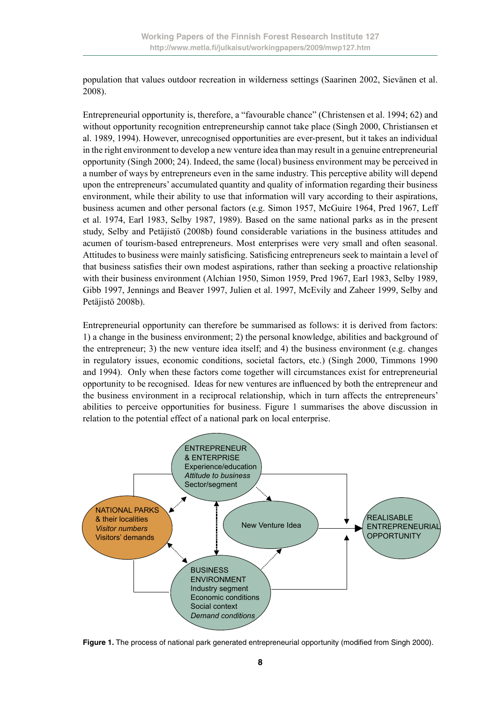population that values outdoor recreation in wilderness settings (Saarinen 2002, Sievänen et al. 2008).

Entrepreneurial opportunity is, therefore, a "favourable chance" (Christensen et al. 1994; 62) and without opportunity recognition entrepreneurship cannot take place (Singh 2000, Christiansen et al. 1989, 1994). However, unrecognised opportunities are ever-present, but it takes an individual in the right environment to develop a new venture idea than may result in a genuine entrepreneurial opportunity (Singh 2000; 24). Indeed, the same (local) business environment may be perceived in a number of ways by entrepreneurs even in the same industry. This perceptive ability will depend upon the entrepreneurs' accumulated quantity and quality of information regarding their business environment, while their ability to use that information will vary according to their aspirations, business acumen and other personal factors (e.g. Simon 1957, McGuire 1964, Pred 1967, Leff et al. 1974, Earl 1983, Selby 1987, 1989). Based on the same national parks as in the present study, Selby and Petäjistö (2008b) found considerable variations in the business attitudes and acumen of tourism-based entrepreneurs. Most enterprises were very small and often seasonal. Attitudes to business were mainly satisficing. Satisficing entrepreneurs seek to maintain a level of that business satisfies their own modest aspirations, rather than seeking a proactive relationship with their business environment (Alchian 1950, Simon 1959, Pred 1967, Earl 1983, Selby 1989, Gibb 1997, Jennings and Beaver 1997, Julien et al. 1997, McEvily and Zaheer 1999, Selby and Petäjistö 2008b).

Entrepreneurial opportunity can therefore be summarised as follows: it is derived from factors: 1) a change in the business environment; 2) the personal knowledge, abilities and background of the entrepreneur; 3) the new venture idea itself; and 4) the business environment (e.g. changes in regulatory issues, economic conditions, societal factors, etc.) (Singh 2000, Timmons 1990 and 1994). Only when these factors come together will circumstances exist for entrepreneurial opportunity to be recognised. Ideas for new ventures are influenced by both the entrepreneur and the business environment in a reciprocal relationship, which in turn affects the entrepreneurs' abilities to perceive opportunities for business. Figure 1 summarises the above discussion in relation to the potential effect of a national park on local enterprise.



Figure 1. The process of national park generated entrepreneurial opportunity (modified from Singh 2000).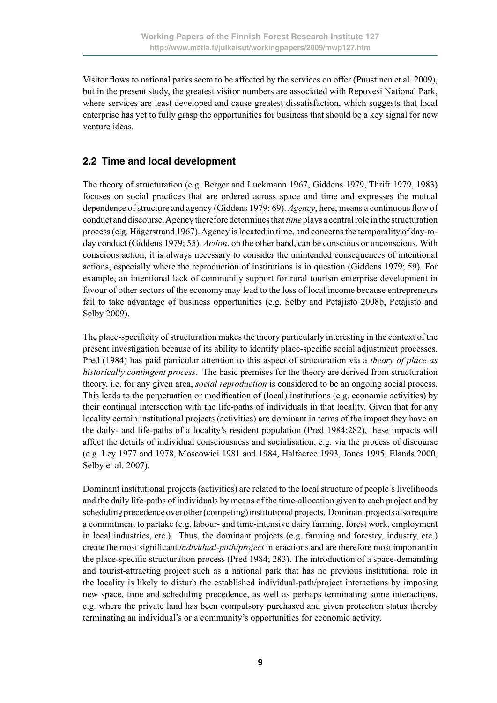Visitor flows to national parks seem to be affected by the services on offer (Puustinen et al. 2009), but in the present study, the greatest visitor numbers are associated with Repovesi National Park, where services are least developed and cause greatest dissatisfaction, which suggests that local enterprise has yet to fully grasp the opportunities for business that should be a key signal for new venture ideas.

#### **2.2 Time and local development**

The theory of structuration (e.g. Berger and Luckmann 1967, Giddens 1979, Thrift 1979, 1983) focuses on social practices that are ordered across space and time and expresses the mutual dependence of structure and agency (Giddens 1979; 69). *Agency*, here, means a continuous flow of conduct and discourse. Agency therefore determines that *time* plays a central role in the structuration process (e.g. Hägerstrand 1967). Agency is located in time, and concerns the temporality of day-today conduct (Giddens 1979; 55). *Action*, on the other hand, can be conscious or unconscious. With conscious action, it is always necessary to consider the unintended consequences of intentional actions, especially where the reproduction of institutions is in question (Giddens 1979; 59). For example, an intentional lack of community support for rural tourism enterprise development in favour of other sectors of the economy may lead to the loss of local income because entrepreneurs fail to take advantage of business opportunities (e.g. Selby and Petäjistö 2008b, Petäjistö and Selby 2009).

The place-specificity of structuration makes the theory particularly interesting in the context of the present investigation because of its ability to identify place-specific social adjustment processes. Pred (1984) has paid particular attention to this aspect of structuration via a *theory of place as historically contingent process*. The basic premises for the theory are derived from structuration theory, i.e. for any given area, *social reproduction* is considered to be an ongoing social process. This leads to the perpetuation or modification of (local) institutions (e.g. economic activities) by their continual intersection with the life-paths of individuals in that locality. Given that for any locality certain institutional projects (activities) are dominant in terms of the impact they have on the daily- and life-paths of a locality's resident population (Pred 1984;282), these impacts will affect the details of individual consciousness and socialisation, e.g. via the process of discourse (e.g. Ley 1977 and 1978, Moscowici 1981 and 1984, Halfacree 1993, Jones 1995, Elands 2000, Selby et al. 2007).

Dominant institutional projects (activities) are related to the local structure of people's livelihoods and the daily life-paths of individuals by means of the time-allocation given to each project and by scheduling precedence over other (competing) institutional projects. Dominant projects also require a commitment to partake (e.g. labour- and time-intensive dairy farming, forest work, employment in local industries, etc.). Thus, the dominant projects (e.g. farming and forestry, industry, etc.) create the most significant *individual-path/project* interactions and are therefore most important in the place-specific structuration process (Pred 1984; 283). The introduction of a space-demanding and tourist-attracting project such as a national park that has no previous institutional role in the locality is likely to disturb the established individual-path/project interactions by imposing new space, time and scheduling precedence, as well as perhaps terminating some interactions, e.g. where the private land has been compulsory purchased and given protection status thereby terminating an individual's or a community's opportunities for economic activity.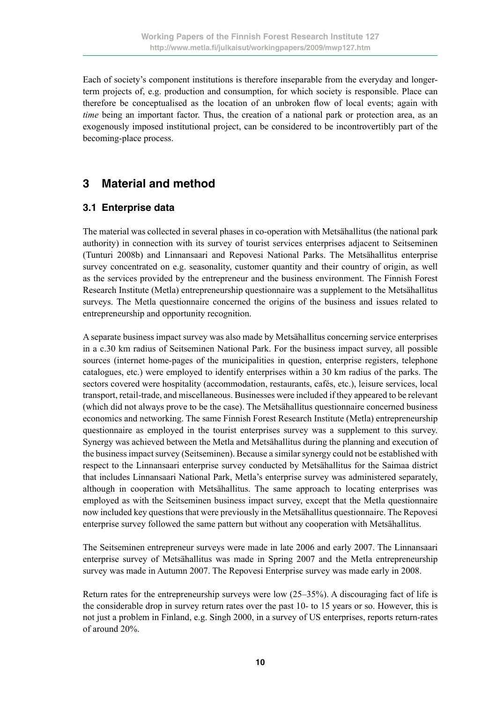Each of society's component institutions is therefore inseparable from the everyday and longerterm projects of, e.g. production and consumption, for which society is responsible. Place can therefore be conceptualised as the location of an unbroken flow of local events; again with *time* being an important factor. Thus, the creation of a national park or protection area, as an exogenously imposed institutional project, can be considered to be incontrovertibly part of the becoming-place process.

# **3 Material and method**

#### **3.1 Enterprise data**

The material was collected in several phases in co-operation with Metsähallitus (the national park authority) in connection with its survey of tourist services enterprises adjacent to Seitseminen (Tunturi 2008b) and Linnansaari and Repovesi National Parks. The Metsähallitus enterprise survey concentrated on e.g. seasonality, customer quantity and their country of origin, as well as the services provided by the entrepreneur and the business environment. The Finnish Forest Research Institute (Metla) entrepreneurship questionnaire was a supplement to the Metsähallitus surveys. The Metla questionnaire concerned the origins of the business and issues related to entrepreneurship and opportunity recognition.

A separate business impact survey was also made by Metsähallitus concerning service enterprises in a c.30 km radius of Seitseminen National Park. For the business impact survey, all possible sources (internet home-pages of the municipalities in question, enterprise registers, telephone catalogues, etc.) were employed to identify enterprises within a 30 km radius of the parks. The sectors covered were hospitality (accommodation, restaurants, cafés, etc.), leisure services, local transport, retail-trade, and miscellaneous. Businesses were included if they appeared to be relevant (which did not always prove to be the case). The Metsähallitus questionnaire concerned business economics and networking. The same Finnish Forest Research Institute (Metla) entrepreneurship questionnaire as employed in the tourist enterprises survey was a supplement to this survey. Synergy was achieved between the Metla and Metsähallitus during the planning and execution of the business impact survey (Seitseminen). Because a similar synergy could not be established with respect to the Linnansaari enterprise survey conducted by Metsähallitus for the Saimaa district that includes Linnansaari National Park, Metla's enterprise survey was administered separately, although in cooperation with Metsähallitus. The same approach to locating enterprises was employed as with the Seitseminen business impact survey, except that the Metla questionnaire now included key questions that were previously in the Metsähallitus questionnaire. The Repovesi enterprise survey followed the same pattern but without any cooperation with Metsähallitus.

The Seitseminen entrepreneur surveys were made in late 2006 and early 2007. The Linnansaari enterprise survey of Metsähallitus was made in Spring 2007 and the Metla entrepreneurship survey was made in Autumn 2007. The Repovesi Enterprise survey was made early in 2008.

Return rates for the entrepreneurship surveys were low (25–35%). A discouraging fact of life is the considerable drop in survey return rates over the past 10- to 15 years or so. However, this is not just a problem in Finland, e.g. Singh 2000, in a survey of US enterprises, reports return-rates of around 20%.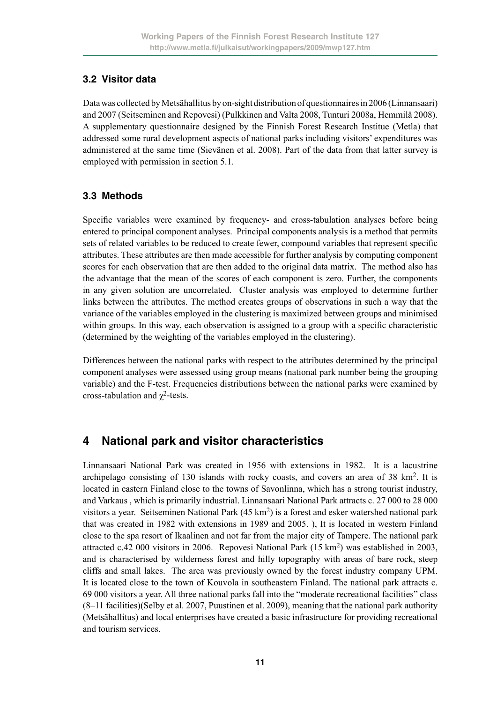#### **3.2 Visitor data**

Data was collected by Metsähallitus by on-sight distribution of questionnaires in 2006 (Linnansaari) and 2007 (Seitseminen and Repovesi) (Pulkkinen and Valta 2008, Tunturi 2008a, Hemmilä 2008). A supplementary questionnaire designed by the Finnish Forest Research Institue (Metla) that addressed some rural development aspects of national parks including visitors' expenditures was administered at the same time (Sievänen et al. 2008). Part of the data from that latter survey is employed with permission in section 5.1.

#### **3.3 Methods**

Specific variables were examined by frequency- and cross-tabulation analyses before being entered to principal component analyses. Principal components analysis is a method that permits sets of related variables to be reduced to create fewer, compound variables that represent specific attributes. These attributes are then made accessible for further analysis by computing component scores for each observation that are then added to the original data matrix. The method also has the advantage that the mean of the scores of each component is zero. Further, the components in any given solution are uncorrelated. Cluster analysis was employed to determine further links between the attributes. The method creates groups of observations in such a way that the variance of the variables employed in the clustering is maximized between groups and minimised within groups. In this way, each observation is assigned to a group with a specific characteristic (determined by the weighting of the variables employed in the clustering).

Differences between the national parks with respect to the attributes determined by the principal component analyses were assessed using group means (national park number being the grouping variable) and the F-test. Frequencies distributions between the national parks were examined by cross-tabulation and  $\chi^2$ -tests.

# **4 National park and visitor characteristics**

Linnansaari National Park was created in 1956 with extensions in 1982. It is a lacustrine archipelago consisting of 130 islands with rocky coasts, and covers an area of  $38 \text{ km}^2$ . It is located in eastern Finland close to the towns of Savonlinna, which has a strong tourist industry, and Varkaus , which is primarily industrial. Linnansaari National Park attracts c. 27 000 to 28 000 visitors a year. Seitseminen National Park  $(45 \text{ km}^2)$  is a forest and esker watershed national park that was created in 1982 with extensions in 1989 and 2005. ), It is located in western Finland close to the spa resort of Ikaalinen and not far from the major city of Tampere. The national park attracted c.42 000 visitors in 2006. Repovesi National Park (15 km2) was established in 2003, and is characterised by wilderness forest and hilly topography with areas of bare rock, steep cliffs and small lakes. The area was previously owned by the forest industry company UPM. It is located close to the town of Kouvola in southeastern Finland. The national park attracts c. 69 000 visitors a year. All three national parks fall into the "moderate recreational facilities" class (8–11 facilities)(Selby et al. 2007, Puustinen et al. 2009), meaning that the national park authority (Metsähallitus) and local enterprises have created a basic infrastructure for providing recreational and tourism services.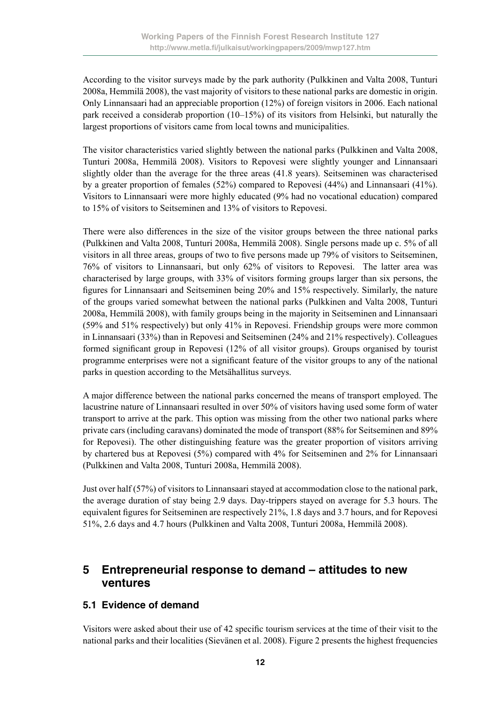According to the visitor surveys made by the park authority (Pulkkinen and Valta 2008, Tunturi 2008a, Hemmilä 2008), the vast majority of visitors to these national parks are domestic in origin. Only Linnansaari had an appreciable proportion (12%) of foreign visitors in 2006. Each national park received a considerab proportion (10–15%) of its visitors from Helsinki, but naturally the largest proportions of visitors came from local towns and municipalities.

The visitor characteristics varied slightly between the national parks (Pulkkinen and Valta 2008, Tunturi 2008a, Hemmilä 2008). Visitors to Repovesi were slightly younger and Linnansaari slightly older than the average for the three areas (41.8 years). Seitseminen was characterised by a greater proportion of females (52%) compared to Repovesi (44%) and Linnansaari (41%). Visitors to Linnansaari were more highly educated (9% had no vocational education) compared to 15% of visitors to Seitseminen and 13% of visitors to Repovesi.

There were also differences in the size of the visitor groups between the three national parks (Pulkkinen and Valta 2008, Tunturi 2008a, Hemmilä 2008). Single persons made up c. 5% of all visitors in all three areas, groups of two to five persons made up 79% of visitors to Seitseminen, 76% of visitors to Linnansaari, but only 62% of visitors to Repovesi. The latter area was characterised by large groups, with 33% of visitors forming groups larger than six persons, the figures for Linnansaari and Seitseminen being 20% and 15% respectively. Similarly, the nature of the groups varied somewhat between the national parks (Pulkkinen and Valta 2008, Tunturi 2008a, Hemmilä 2008), with family groups being in the majority in Seitseminen and Linnansaari (59% and 51% respectively) but only 41% in Repovesi. Friendship groups were more common in Linnansaari (33%) than in Repovesi and Seitseminen (24% and 21% respectively). Colleagues formed significant group in Repovesi (12% of all visitor groups). Groups organised by tourist programme enterprises were not a significant feature of the visitor groups to any of the national parks in question according to the Metsähallitus surveys.

A major difference between the national parks concerned the means of transport employed. The lacustrine nature of Linnansaari resulted in over 50% of visitors having used some form of water transport to arrive at the park. This option was missing from the other two national parks where private cars (including caravans) dominated the mode of transport (88% for Seitseminen and 89% for Repovesi). The other distinguishing feature was the greater proportion of visitors arriving by chartered bus at Repovesi (5%) compared with 4% for Seitseminen and 2% for Linnansaari (Pulkkinen and Valta 2008, Tunturi 2008a, Hemmilä 2008).

Just over half (57%) of visitors to Linnansaari stayed at accommodation close to the national park, the average duration of stay being 2.9 days. Day-trippers stayed on average for 5.3 hours. The equivalent figures for Seitseminen are respectively 21%, 1.8 days and 3.7 hours, and for Repovesi 51%, 2.6 days and 4.7 hours (Pulkkinen and Valta 2008, Tunturi 2008a, Hemmilä 2008).

# **5 Entrepreneurial response to demand – attitudes to new ventures**

#### **5.1 Evidence of demand**

Visitors were asked about their use of 42 specific tourism services at the time of their visit to the national parks and their localities (Sievänen et al. 2008). Figure 2 presents the highest frequencies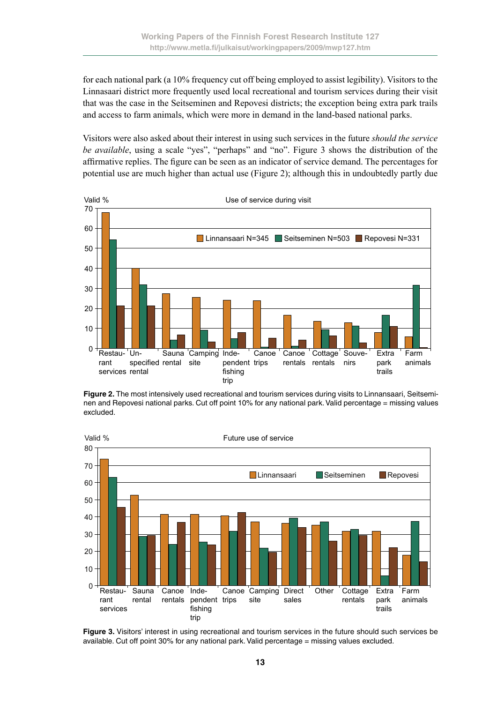for each national park (a 10% frequency cut off being employed to assist legibility). Visitors to the Linnasaari district more frequently used local recreational and tourism services during their visit that was the case in the Seitseminen and Repovesi districts; the exception being extra park trails and access to farm animals, which were more in demand in the land-based national parks.

Visitors were also asked about their interest in using such services in the future *should the service be available*, using a scale "yes", "perhaps" and "no". Figure 3 shows the distribution of the affirmative replies. The figure can be seen as an indicator of service demand. The percentages for potential use are much higher than actual use (Figure 2); although this in undoubtedly partly due



**Figure 2.** The most intensively used recreational and tourism services during visits to Linnansaari, Seitseminen and Repovesi national parks. Cut off point 10% for any national park. Valid percentage = missing values excluded.



**Figure 3.** Visitors' interest in using recreational and tourism services in the future should such services be available. Cut off point 30% for any national park. Valid percentage = missing values excluded.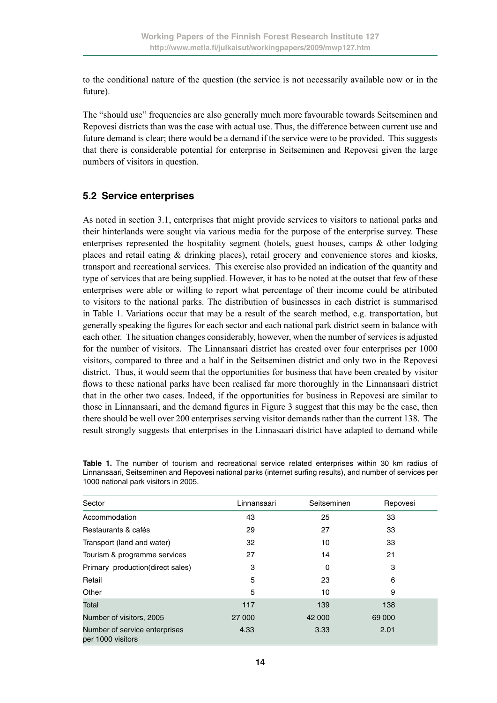to the conditional nature of the question (the service is not necessarily available now or in the future).

The "should use" frequencies are also generally much more favourable towards Seitseminen and Repovesi districts than was the case with actual use. Thus, the difference between current use and future demand is clear; there would be a demand if the service were to be provided. This suggests that there is considerable potential for enterprise in Seitseminen and Repovesi given the large numbers of visitors in question.

#### **5.2 Service enterprises**

As noted in section 3.1, enterprises that might provide services to visitors to national parks and their hinterlands were sought via various media for the purpose of the enterprise survey. These enterprises represented the hospitality segment (hotels, guest houses, camps  $\&$  other lodging places and retail eating & drinking places), retail grocery and convenience stores and kiosks, transport and recreational services. This exercise also provided an indication of the quantity and type of services that are being supplied. However, it has to be noted at the outset that few of these enterprises were able or willing to report what percentage of their income could be attributed to visitors to the national parks. The distribution of businesses in each district is summarised in Table 1. Variations occur that may be a result of the search method, e.g. transportation, but generally speaking the figures for each sector and each national park district seem in balance with each other. The situation changes considerably, however, when the number of services is adjusted for the number of visitors. The Linnansaari district has created over four enterprises per 1000 visitors, compared to three and a half in the Seitseminen district and only two in the Repovesi district. Thus, it would seem that the opportunities for business that have been created by visitor flows to these national parks have been realised far more thoroughly in the Linnansaari district that in the other two cases. Indeed, if the opportunities for business in Repovesi are similar to those in Linnansaari, and the demand figures in Figure 3 suggest that this may be the case, then there should be well over 200 enterprises serving visitor demands rather than the current 138. The result strongly suggests that enterprises in the Linnasaari district have adapted to demand while

| Sector                                             | Linnansaari | Seitseminen | Repovesi |
|----------------------------------------------------|-------------|-------------|----------|
| Accommodation                                      | 43          | 25          | 33       |
| Restaurants & cafés                                | 29          | 27          | 33       |
| Transport (land and water)                         | 32          | 10          | 33       |
| Tourism & programme services                       | 27          | 14          | 21       |
| Primary production(direct sales)                   | 3           | 0           | 3        |
| Retail                                             | 5           | 23          | 6        |
| Other                                              | 5           | 10          | 9        |
| Total                                              | 117         | 139         | 138      |
| Number of visitors, 2005                           | 27 000      | 42 000      | 69 000   |
| Number of service enterprises<br>per 1000 visitors | 4.33        | 3.33        | 2.01     |

**Table 1.** The number of tourism and recreational service related enterprises within 30 km radius of Linnansaari, Seitseminen and Repovesi national parks (internet surfing results), and number of services per 1000 national park visitors in 2005.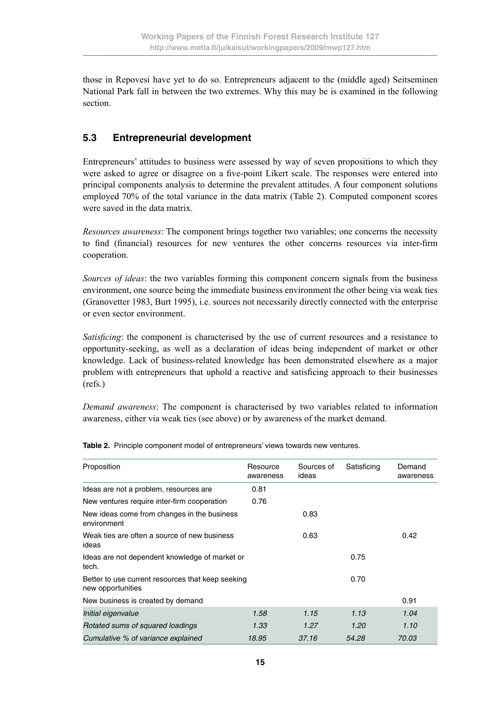those in Repovesi have yet to do so. Entrepreneurs adjacent to the (middle aged) Seitseminen National Park fall in between the two extremes. Why this may be is examined in the following section.

#### **5.3 Entrepreneurial development**

Entrepreneurs' attitudes to business were assessed by way of seven propositions to which they were asked to agree or disagree on a five-point Likert scale. The responses were entered into principal components analysis to determine the prevalent attitudes. A four component solutions employed 70% of the total variance in the data matrix (Table 2). Computed component scores were saved in the data matrix.

*Resources awareness*: The component brings together two variables; one concerns the necessity to find (financial) resources for new ventures the other concerns resources via inter-firm cooperation.

*Sources of ideas*: the two variables forming this component concern signals from the business environment, one source being the immediate business environment the other being via weak ties (Granovetter 1983, Burt 1995), i.e. sources not necessarily directly connected with the enterprise or even sector environment.

*Satisficing*: the component is characterised by the use of current resources and a resistance to opportunity-seeking, as well as a declaration of ideas being independent of market or other knowledge. Lack of business-related knowledge has been demonstrated elsewhere as a major problem with entrepreneurs that uphold a reactive and satisficing approach to their businesses (refs.)

*Demand awareness*: The component is characterised by two variables related to information awareness, either via weak ties (see above) or by awareness of the market demand.

| Proposition                                                            | Resource  | Sources of | Satisficing | Demand    |
|------------------------------------------------------------------------|-----------|------------|-------------|-----------|
|                                                                        | awareness | ideas      |             | awareness |
| Ideas are not a problem, resources are                                 | 0.81      |            |             |           |
| New ventures require inter-firm cooperation                            | 0.76      |            |             |           |
| New ideas come from changes in the business<br>environment             |           | 0.83       |             |           |
| Weak ties are often a source of new business<br>ideas                  |           | 0.63       |             | 0.42      |
| Ideas are not dependent knowledge of market or<br>tech.                |           |            | 0.75        |           |
| Better to use current resources that keep seeking<br>new opportunities |           |            | 0.70        |           |
| New business is created by demand                                      |           |            |             | 0.91      |
| Initial eigenvalue                                                     | 1.58      | 1.15       | 1.13        | 1.04      |
| Rotated sums of squared loadings                                       | 1.33      | 1.27       | 1.20        | 1.10      |
| Cumulative % of variance explained                                     | 18.95     | 37.16      | 54.28       | 70.03     |

**Table 2.** Principle component model of entrepreneurs' views towards new ventures.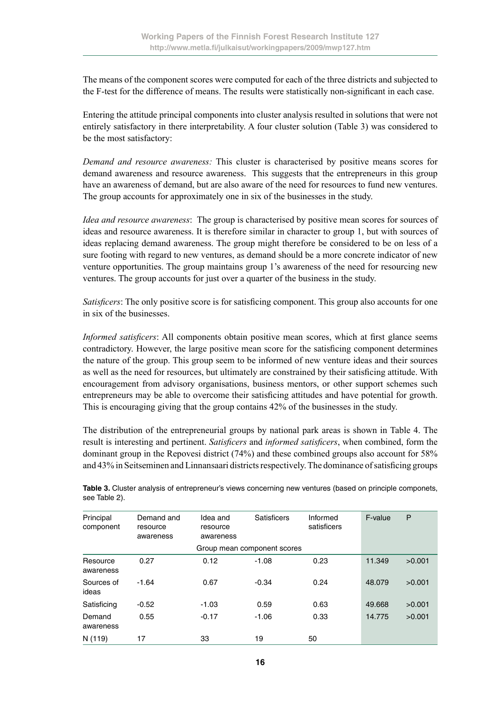The means of the component scores were computed for each of the three districts and subjected to the F-test for the difference of means. The results were statistically non-significant in each case.

Entering the attitude principal components into cluster analysis resulted in solutions that were not entirely satisfactory in there interpretability. A four cluster solution (Table 3) was considered to be the most satisfactory:

*Demand and resource awareness:* This cluster is characterised by positive means scores for demand awareness and resource awareness. This suggests that the entrepreneurs in this group have an awareness of demand, but are also aware of the need for resources to fund new ventures. The group accounts for approximately one in six of the businesses in the study.

*Idea and resource awareness*: The group is characterised by positive mean scores for sources of ideas and resource awareness. It is therefore similar in character to group 1, but with sources of ideas replacing demand awareness. The group might therefore be considered to be on less of a sure footing with regard to new ventures, as demand should be a more concrete indicator of new venture opportunities. The group maintains group 1's awareness of the need for resourcing new ventures. The group accounts for just over a quarter of the business in the study.

*Satisficers*: The only positive score is for satisficing component. This group also accounts for one in six of the businesses.

*Informed satisficers*: All components obtain positive mean scores, which at first glance seems contradictory. However, the large positive mean score for the satisficing component determines the nature of the group. This group seem to be informed of new venture ideas and their sources as well as the need for resources, but ultimately are constrained by their satisficing attitude. With encouragement from advisory organisations, business mentors, or other support schemes such entrepreneurs may be able to overcome their satisficing attitudes and have potential for growth. This is encouraging giving that the group contains 42% of the businesses in the study.

The distribution of the entrepreneurial groups by national park areas is shown in Table 4. The result is interesting and pertinent. *Satisficers* and *informed satisficers*, when combined, form the dominant group in the Repovesi district (74%) and these combined groups also account for 58% and 43% in Seitseminen and Linnansaari districts respectively. The dominance of satisficing groups

| Principal<br>component | Demand and<br>resource<br>awareness | Idea and<br>resource<br>awareness | <b>Satisficers</b>          | Informed<br>satisficers | F-value | P      |
|------------------------|-------------------------------------|-----------------------------------|-----------------------------|-------------------------|---------|--------|
|                        |                                     |                                   | Group mean component scores |                         |         |        |
| Resource<br>awareness  | 0.27                                | 0.12                              | $-1.08$                     | 0.23                    | 11.349  | >0.001 |
| Sources of<br>ideas    | $-1.64$                             | 0.67                              | $-0.34$                     | 0.24                    | 48.079  | >0.001 |
| Satisficing            | $-0.52$                             | $-1.03$                           | 0.59                        | 0.63                    | 49.668  | >0.001 |
| Demand<br>awareness    | 0.55                                | $-0.17$                           | $-1.06$                     | 0.33                    | 14.775  | >0.001 |
| N (119)                | 17                                  | 33                                | 19                          | 50                      |         |        |

**Table 3.** Cluster analysis of entrepreneur's views concerning new ventures (based on principle componets, see Table 2).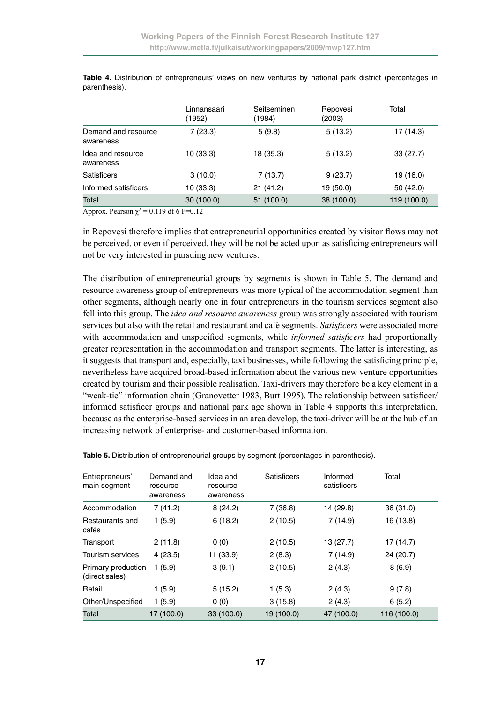|                                  | Linnansaari<br>(1952) | Seitseminen<br>(1984) | Repovesi<br>(2003) | Total       |
|----------------------------------|-----------------------|-----------------------|--------------------|-------------|
| Demand and resource<br>awareness | 7(23.3)               | 5(9.8)                | 5(13.2)            | 17 (14.3)   |
| Idea and resource<br>awareness   | 10 (33.3)             | 18 (35.3)             | 5(13.2)            | 33(27.7)    |
| <b>Satisficers</b>               | 3(10.0)               | 7(13.7)               | 9(23.7)            | 19 (16.0)   |
| Informed satisficers             | 10 (33.3)             | 21(41.2)              | 19 (50.0)          | 50 (42.0)   |
| Total                            | 30(100.0)             | 51 (100.0)            | 38 (100.0)         | 119 (100.0) |

**Table 4.** Distribution of entrepreneurs' views on new ventures by national park district (percentages in parenthesis).

Approx. Pearson  $\chi^2$  = 0.119 df 6 P=0.12

in Repovesi therefore implies that entrepreneurial opportunities created by visitor flows may not be perceived, or even if perceived, they will be not be acted upon as satisficing entrepreneurs will not be very interested in pursuing new ventures.

The distribution of entrepreneurial groups by segments is shown in Table 5. The demand and resource awareness group of entrepreneurs was more typical of the accommodation segment than other segments, although nearly one in four entrepreneurs in the tourism services segment also fell into this group. The *idea and resource awareness* group was strongly associated with tourism services but also with the retail and restaurant and café segments. *Satisficers* were associated more with accommodation and unspecified segments, while *informed satisficers* had proportionally greater representation in the accommodation and transport segments. The latter is interesting, as it suggests that transport and, especially, taxi businesses, while following the satisficing principle, nevertheless have acquired broad-based information about the various new venture opportunities created by tourism and their possible realisation. Taxi-drivers may therefore be a key element in a "weak-tie" information chain (Granovetter 1983, Burt 1995). The relationship between satisficer/ informed satisficer groups and national park age shown in Table 4 supports this interpretation, because as the enterprise-based services in an area develop, the taxi-driver will be at the hub of an increasing network of enterprise- and customer-based information.

| Entrepreneurs'<br>main segment       | Demand and<br>resource<br>awareness | Idea and<br>resource<br>awareness | <b>Satisficers</b> | Informed<br>satisficers | Total       |
|--------------------------------------|-------------------------------------|-----------------------------------|--------------------|-------------------------|-------------|
| Accommodation                        | 7(41.2)                             | 8(24.2)                           | 7(36.8)            | 14 (29.8)               | 36 (31.0)   |
| Restaurants and<br>cafés             | 1(5.9)                              | 6(18.2)                           | 2(10.5)            | 7(14.9)                 | 16 (13.8)   |
| Transport                            | 2(11.8)                             | 0(0)                              | 2(10.5)            | 13 (27.7)               | 17 (14.7)   |
| Tourism services                     | 4(23.5)                             | 11 (33.9)                         | 2(8.3)             | 7(14.9)                 | 24 (20.7)   |
| Primary production<br>(direct sales) | 1(5.9)                              | 3(9.1)                            | 2(10.5)            | 2(4.3)                  | 8(6.9)      |
| Retail                               | 1(5.9)                              | 5(15.2)                           | 1(5.3)             | 2(4.3)                  | 9(7.8)      |
| Other/Unspecified                    | 1(5.9)                              | 0(0)                              | 3(15.8)            | 2(4.3)                  | 6(5.2)      |
| Total                                | 17 (100.0)                          | 33(100.0)                         | 19 (100.0)         | 47 (100.0)              | 116 (100.0) |

**Table 5.** Distribution of entrepreneurial groups by segment (percentages in parenthesis).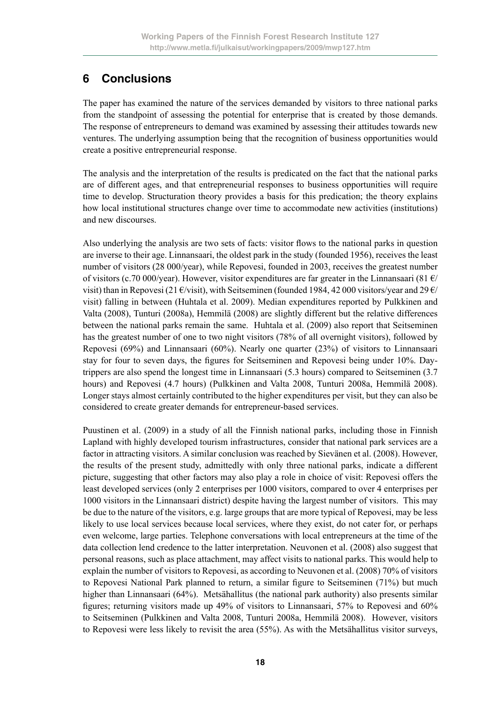# **6 Conclusions**

The paper has examined the nature of the services demanded by visitors to three national parks from the standpoint of assessing the potential for enterprise that is created by those demands. The response of entrepreneurs to demand was examined by assessing their attitudes towards new ventures. The underlying assumption being that the recognition of business opportunities would create a positive entrepreneurial response.

The analysis and the interpretation of the results is predicated on the fact that the national parks are of different ages, and that entrepreneurial responses to business opportunities will require time to develop. Structuration theory provides a basis for this predication; the theory explains how local institutional structures change over time to accommodate new activities (institutions) and new discourses.

Also underlying the analysis are two sets of facts: visitor flows to the national parks in question are inverse to their age. Linnansaari, the oldest park in the study (founded 1956), receives the least number of visitors (28 000/year), while Repovesi, founded in 2003, receives the greatest number of visitors (c.70 000/year). However, visitor expenditures are far greater in the Linnansaari (81  $\epsilon$ / visit) than in Repovesi (21 €/visit), with Seitseminen (founded 1984, 42 000 visitors/vear and 29 €/ visit) falling in between (Huhtala et al. 2009). Median expenditures reported by Pulkkinen and Valta (2008), Tunturi (2008a), Hemmilä (2008) are slightly different but the relative differences between the national parks remain the same. Huhtala et al. (2009) also report that Seitseminen has the greatest number of one to two night visitors (78% of all overnight visitors), followed by Repovesi (69%) and Linnansaari (60%). Nearly one quarter (23%) of visitors to Linnansaari stay for four to seven days, the figures for Seitseminen and Repovesi being under 10%. Daytrippers are also spend the longest time in Linnansaari (5.3 hours) compared to Seitseminen (3.7 hours) and Repovesi (4.7 hours) (Pulkkinen and Valta 2008, Tunturi 2008a, Hemmilä 2008). Longer stays almost certainly contributed to the higher expenditures per visit, but they can also be considered to create greater demands for entrepreneur-based services.

Puustinen et al. (2009) in a study of all the Finnish national parks, including those in Finnish Lapland with highly developed tourism infrastructures, consider that national park services are a factor in attracting visitors. A similar conclusion was reached by Sievänen et al. (2008). However, the results of the present study, admittedly with only three national parks, indicate a different picture, suggesting that other factors may also play a role in choice of visit: Repovesi offers the least developed services (only 2 enterprises per 1000 visitors, compared to over 4 enterprises per 1000 visitors in the Linnansaari district) despite having the largest number of visitors. This may be due to the nature of the visitors, e.g. large groups that are more typical of Repovesi, may be less likely to use local services because local services, where they exist, do not cater for, or perhaps even welcome, large parties. Telephone conversations with local entrepreneurs at the time of the data collection lend credence to the latter interpretation. Neuvonen et al. (2008) also suggest that personal reasons, such as place attachment, may affect visits to national parks. This would help to explain the number of visitors to Repovesi, as according to Neuvonen et al. (2008) 70% of visitors to Repovesi National Park planned to return, a similar figure to Seitseminen (71%) but much higher than Linnansaari (64%). Metsähallitus (the national park authority) also presents similar figures; returning visitors made up 49% of visitors to Linnansaari, 57% to Repovesi and 60% to Seitseminen (Pulkkinen and Valta 2008, Tunturi 2008a, Hemmilä 2008). However, visitors to Repovesi were less likely to revisit the area (55%). As with the Metsähallitus visitor surveys,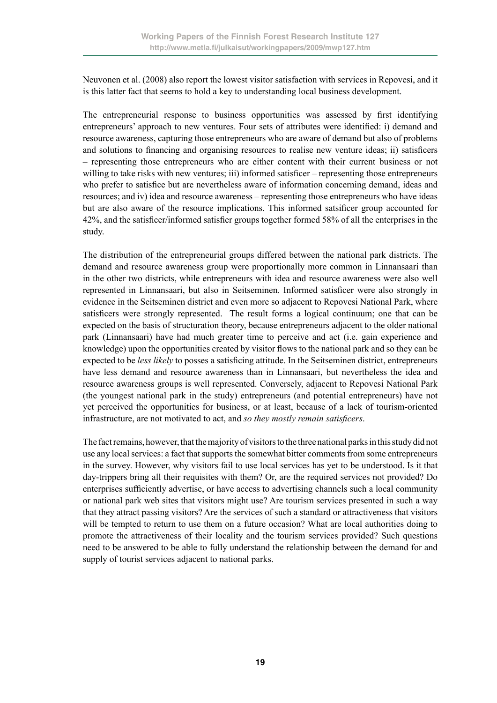Neuvonen et al. (2008) also report the lowest visitor satisfaction with services in Repovesi, and it is this latter fact that seems to hold a key to understanding local business development.

The entrepreneurial response to business opportunities was assessed by first identifying entrepreneurs' approach to new ventures. Four sets of attributes were identified: i) demand and resource awareness, capturing those entrepreneurs who are aware of demand but also of problems and solutions to financing and organising resources to realise new venture ideas; ii) satisficers – representing those entrepreneurs who are either content with their current business or not willing to take risks with new ventures; iii) informed satisficer – representing those entrepreneurs who prefer to satisfice but are nevertheless aware of information concerning demand, ideas and resources; and iv) idea and resource awareness – representing those entrepreneurs who have ideas but are also aware of the resource implications. This informed satsificer group accounted for 42%, and the satisficer/informed satisfier groups together formed 58% of all the enterprises in the study.

The distribution of the entrepreneurial groups differed between the national park districts. The demand and resource awareness group were proportionally more common in Linnansaari than in the other two districts, while entrepreneurs with idea and resource awareness were also well represented in Linnansaari, but also in Seitseminen. Informed satisficer were also strongly in evidence in the Seitseminen district and even more so adjacent to Repovesi National Park, where satisficers were strongly represented. The result forms a logical continuum; one that can be expected on the basis of structuration theory, because entrepreneurs adjacent to the older national park (Linnansaari) have had much greater time to perceive and act (i.e. gain experience and knowledge) upon the opportunities created by visitor flows to the national park and so they can be expected to be *less likely* to posses a satisficing attitude. In the Seitseminen district, entrepreneurs have less demand and resource awareness than in Linnansaari, but nevertheless the idea and resource awareness groups is well represented. Conversely, adjacent to Repovesi National Park (the youngest national park in the study) entrepreneurs (and potential entrepreneurs) have not yet perceived the opportunities for business, or at least, because of a lack of tourism-oriented infrastructure, are not motivated to act, and *so they mostly remain satisficers*.

The fact remains, however, that the majority of visitors to the three national parks in this study did not use any local services: a fact that supports the somewhat bitter comments from some entrepreneurs in the survey. However, why visitors fail to use local services has yet to be understood. Is it that day-trippers bring all their requisites with them? Or, are the required services not provided? Do enterprises sufficiently advertise, or have access to advertising channels such a local community or national park web sites that visitors might use? Are tourism services presented in such a way that they attract passing visitors? Are the services of such a standard or attractiveness that visitors will be tempted to return to use them on a future occasion? What are local authorities doing to promote the attractiveness of their locality and the tourism services provided? Such questions need to be answered to be able to fully understand the relationship between the demand for and supply of tourist services adjacent to national parks.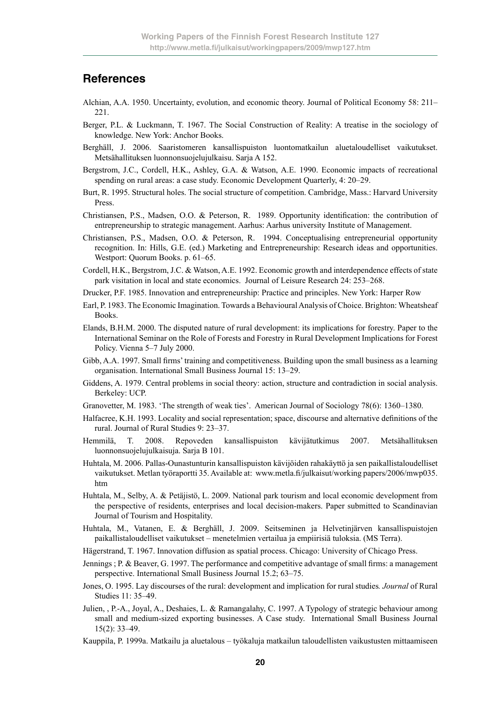#### **References**

- Alchian, A.A. 1950. Uncertainty, evolution, and economic theory. Journal of Political Economy 58: 211– 221.
- Berger, P.L. & Luckmann, T. 1967. The Social Construction of Reality: A treatise in the sociology of knowledge. New York: Anchor Books.
- Berghäll, J. 2006. Saaristomeren kansallispuiston luontomatkailun aluetaloudelliset vaikutukset. Metsähallituksen luonnonsuojelujulkaisu. Sarja A 152.
- Bergstrom, J.C., Cordell, H.K., Ashley, G.A. & Watson, A.E. 1990. Economic impacts of recreational spending on rural areas: a case study. Economic Development Quarterly, 4: 20–29.
- Burt, R. 1995. Structural holes. The social structure of competition. Cambridge, Mass.: Harvard University Press.
- Christiansen, P.S., Madsen, O.O. & Peterson, R. 1989. Opportunity identification: the contribution of entrepreneurship to strategic management. Aarhus: Aarhus university Institute of Management.
- Christiansen, P.S., Madsen, O.O. & Peterson, R. 1994. Conceptualising entrepreneurial opportunity recognition. In: Hills, G.E. (ed.) Marketing and Entrepreneurship: Research ideas and opportunities. Westport: Quorum Books. p. 61–65.
- Cordell, H.K., Bergstrom, J.C. & Watson, A.E. 1992. Economic growth and interdependence effects of state park visitation in local and state economics. Journal of Leisure Research 24: 253–268.
- Drucker, P.F. 1985. Innovation and entrepreneurship: Practice and principles. New York: Harper Row
- Earl, P. 1983. The Economic Imagination. Towards a Behavioural Analysis of Choice. Brighton: Wheatsheaf Books.
- Elands, B.H.M. 2000. The disputed nature of rural development: its implications for forestry. Paper to the International Seminar on the Role of Forests and Forestry in Rural Development Implications for Forest Policy. Vienna 5–7 July 2000.
- Gibb, A.A. 1997. Small firms' training and competitiveness. Building upon the small business as a learning organisation. International Small Business Journal 15: 13–29.
- Giddens, A. 1979. Central problems in social theory: action, structure and contradiction in social analysis. Berkeley: UCP.
- Granovetter, M. 1983. 'The strength of weak ties'. American Journal of Sociology 78(6): 1360–1380.
- Halfacree, K.H. 1993. Locality and social representation; space, discourse and alternative definitions of the rural. Journal of Rural Studies 9: 23–37.
- Hemmilä, T. 2008. Repoveden kansallispuiston kävijätutkimus 2007. Metsähallituksen luonnonsuojelujulkaisuja. Sarja B 101.
- Huhtala, M. 2006. Pallas-Ounastunturin kansallispuiston kävijöiden rahakäyttö ja sen paikallistaloudelliset vaikutukset. Metlan työraportti 35. Available at: www.metla.fi/julkaisut/working papers/2006/mwp035. htm
- Huhtala, M., Selby, A. & Petäjistö, L. 2009. National park tourism and local economic development from the perspective of residents, enterprises and local decision-makers. Paper submitted to Scandinavian Journal of Tourism and Hospitality.
- Huhtala, M., Vatanen, E. & Berghäll, J. 2009. Seitseminen ja Helvetinjärven kansallispuistojen paikallistaloudelliset vaikutukset – menetelmien vertailua ja empiirisiä tuloksia. (MS Terra).
- Hägerstrand, T. 1967. Innovation diffusion as spatial process. Chicago: University of Chicago Press.
- Jennings ; P. & Beaver, G. 1997. The performance and competitive advantage of small firms: a management perspective. International Small Business Journal 15.2; 63–75.
- Jones, O. 1995. Lay discourses of the rural: development and implication for rural studies*. Journal* of Rural Studies 11: 35–49.
- Julien, , P.-A., Joyal, A., Deshaies, L. & Ramangalahy, C. 1997. A Typology of strategic behaviour among small and medium-sized exporting businesses. A Case study. International Small Business Journal 15(2): 33–49.
- Kauppila, P. 1999a. Matkailu ja aluetalous työkaluja matkailun taloudellisten vaikustusten mittaamiseen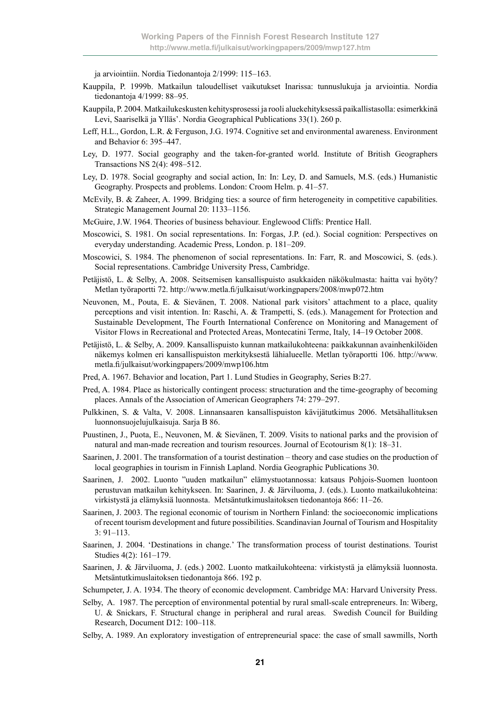ja arviointiin. Nordia Tiedonantoja 2/1999: 115–163.

- Kauppila, P. 1999b. Matkailun taloudelliset vaikutukset Inarissa: tunnuslukuja ja arviointia. Nordia tiedonantoja 4/1999: 88–95.
- Kauppila, P. 2004. Matkailukeskusten kehitysprosessi ja rooli aluekehityksessä paikallistasolla: esimerkkinä Levi, Saariselkä ja Ylläs'. Nordia Geographical Publications 33(1). 260 p.
- Leff, H.L., Gordon, L.R. & Ferguson, J.G. 1974. Cognitive set and environmental awareness. Environment and Behavior 6: 395–447.
- Ley, D. 1977. Social geography and the taken-for-granted world. Institute of British Geographers Transactions NS 2(4): 498–512.
- Ley, D. 1978. Social geography and social action, In: In: Ley, D. and Samuels, M.S. (eds.) Humanistic Geography. Prospects and problems. London: Croom Helm. p. 41–57.
- McEvily, B. & Zaheer, A. 1999. Bridging ties: a source of firm heterogeneity in competitive capabilities. Strategic Management Journal 20: 1133–1156.
- McGuire, J.W. 1964. Theories of business behaviour. Englewood Cliffs: Prentice Hall.
- Moscowici, S. 1981. On social representations. In: Forgas, J.P. (ed.). Social cognition: Perspectives on everyday understanding. Academic Press, London. p. 181–209.
- Moscowici, S. 1984. The phenomenon of social representations. In: Farr, R. and Moscowici, S. (eds.). Social representations. Cambridge University Press, Cambridge.
- Petäjistö, L. & Selby, A. 2008. Seitsemisen kansallispuisto asukkaiden näkökulmasta: haitta vai hyöty? Metlan työraportti 72. http://www.metla.fi/julkaisut/workingpapers/2008/mwp072.htm
- Neuvonen, M., Pouta, E. & Sievänen, T. 2008. National park visitors' attachment to a place, quality perceptions and visit intention. In: Raschi, A. & Trampetti, S. (eds.). Management for Protection and Sustainable Development, The Fourth International Conference on Monitoring and Management of Visitor Flows in Recreational and Protected Areas, Montecatini Terme, Italy, 14–19 October 2008.
- Petäjistö, L. & Selby, A. 2009. Kansallispuisto kunnan matkailukohteena: paikkakunnan avainhenkilöiden näkemys kolmen eri kansallispuiston merkityksestä lähialueelle. Metlan työraportti 106. http://www. metla.fi/julkaisut/workingpapers/2009/mwp106.htm
- Pred, A. 1967. Behavior and location, Part 1. Lund Studies in Geography, Series B:27.
- Pred, A. 1984. Place as historically contingent process: structuration and the time-geography of becoming places. Annals of the Association of American Geographers 74: 279–297.
- Pulkkinen, S. & Valta, V. 2008. Linnansaaren kansallispuiston kävijätutkimus 2006. Metsähallituksen luonnonsuojelujulkaisuja. Sarja B 86.
- Puustinen, J., Puota, E., Neuvonen, M. & Sievänen, T. 2009. Visits to national parks and the provision of natural and man-made recreation and tourism resources. Journal of Ecotourism 8(1): 18–31.
- Saarinen, J. 2001. The transformation of a tourist destination theory and case studies on the production of local geographies in tourism in Finnish Lapland. Nordia Geographic Publications 30.
- Saarinen, J. 2002. Luonto "uuden matkailun" elämystuotannossa: katsaus Pohjois-Suomen luontoon perustuvan matkailun kehitykseen. In: Saarinen, J. & Järviluoma, J. (eds.). Luonto matkailukohteina: virkistystä ja elämyksiä luonnosta. Metsäntutkimuslaitoksen tiedonantoja 866: 11–26.
- Saarinen, J. 2003. The regional economic of tourism in Northern Finland: the socioeconomic implications of recent tourism development and future possibilities. Scandinavian Journal of Tourism and Hospitality 3: 91–113.
- Saarinen, J. 2004. 'Destinations in change.' The transformation process of tourist destinations. Tourist Studies 4(2): 161–179.
- Saarinen, J. & Järviluoma, J. (eds.) 2002. Luonto matkailukohteena: virkistystä ja elämyksiä luonnosta. Metsäntutkimuslaitoksen tiedonantoja 866. 192 p.
- Schumpeter, J. A. 1934. The theory of economic development. Cambridge MA: Harvard University Press.
- Selby, A. 1987. The perception of environmental potential by rural small-scale entrepreneurs. In: Wiberg, U. & Snickars, F. Structural change in peripheral and rural areas. Swedish Council for Building Research, Document D12: 100–118.
- Selby, A. 1989. An exploratory investigation of entrepreneurial space: the case of small sawmills, North